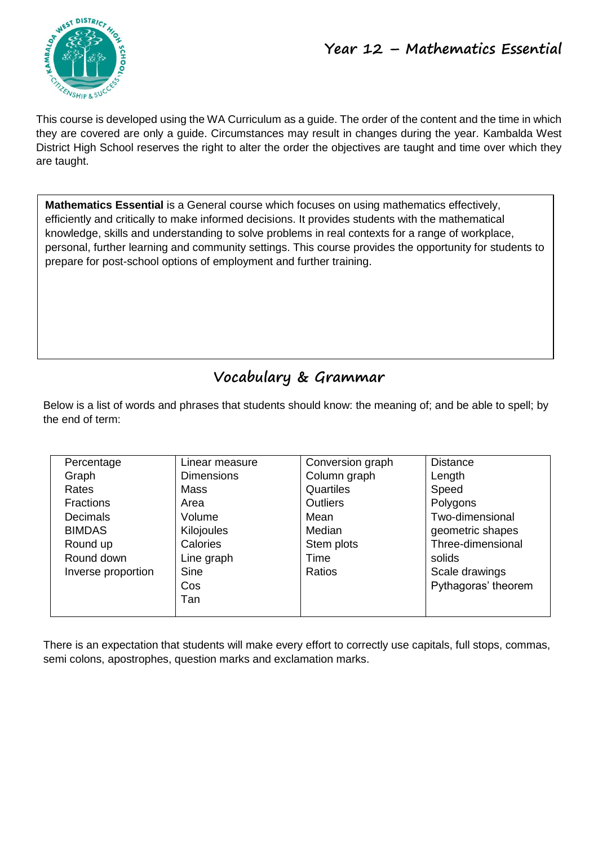

This course is developed using the WA Curriculum as a guide. The order of the content and the time in which they are covered are only a guide. Circumstances may result in changes during the year. Kambalda West District High School reserves the right to alter the order the objectives are taught and time over which they are taught.

**Mathematics Essential** is a General course which focuses on using mathematics effectively, efficiently and critically to make informed decisions. It provides students with the mathematical knowledge, skills and understanding to solve problems in real contexts for a range of workplace, personal, further learning and community settings. This course provides the opportunity for students to prepare for post-school options of employment and further training.

# **Vocabulary & Grammar**

Below is a list of words and phrases that students should know: the meaning of; and be able to spell; by the end of term:

| Percentage         | Linear measure    | Conversion graph | <b>Distance</b>     |
|--------------------|-------------------|------------------|---------------------|
| Graph              | <b>Dimensions</b> | Column graph     | Length              |
| Rates              | Mass              | Quartiles        | Speed               |
| <b>Fractions</b>   | Area              | <b>Outliers</b>  | Polygons            |
| <b>Decimals</b>    | Volume            | Mean             | Two-dimensional     |
| <b>BIMDAS</b>      | Kilojoules        | Median           | geometric shapes    |
| Round up           | Calories          | Stem plots       | Three-dimensional   |
| Round down         | Line graph        | Time             | solids              |
| Inverse proportion | Sine              | Ratios           | Scale drawings      |
|                    | Cos               |                  | Pythagoras' theorem |
|                    | Tan               |                  |                     |
|                    |                   |                  |                     |

There is an expectation that students will make every effort to correctly use capitals, full stops, commas, semi colons, apostrophes, question marks and exclamation marks.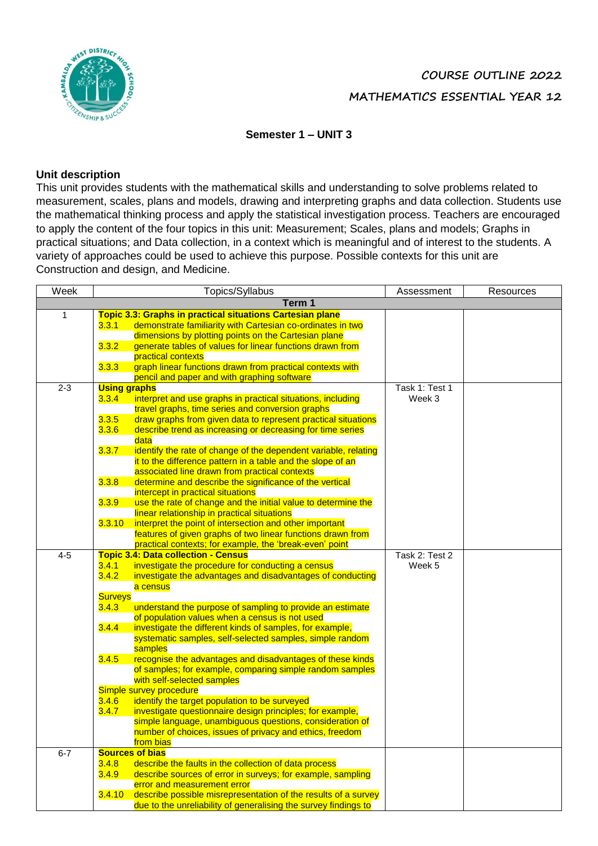

## **COURSE OUTLINE 2022 MATHEMATICS ESSENTIAL YEAR 12**

## **Semester 1 – UNIT 3**

#### **Unit description**

This unit provides students with the mathematical skills and understanding to solve problems related to measurement, scales, plans and models, drawing and interpreting graphs and data collection. Students use the mathematical thinking process and apply the statistical investigation process. Teachers are encouraged to apply the content of the four topics in this unit: Measurement; Scales, plans and models; Graphs in practical situations; and Data collection, in a context which is meaningful and of interest to the students. A variety of approaches could be used to achieve this purpose. Possible contexts for this unit are Construction and design, and Medicine.

| Week    |                     | Topics/Syllabus                                                                        | Assessment     | Resources |
|---------|---------------------|----------------------------------------------------------------------------------------|----------------|-----------|
|         |                     | Term 1                                                                                 |                |           |
| 1       |                     | <b>Topic 3.3: Graphs in practical situations Cartesian plane</b>                       |                |           |
|         | 3.3.1               | demonstrate familiarity with Cartesian co-ordinates in two                             |                |           |
|         |                     | dimensions by plotting points on the Cartesian plane                                   |                |           |
|         | 3.3.2               | generate tables of values for linear functions drawn from                              |                |           |
|         |                     | practical contexts                                                                     |                |           |
|         | 3.3.3               | graph linear functions drawn from practical contexts with                              |                |           |
|         |                     | pencil and paper and with graphing software                                            |                |           |
| $2 - 3$ | <b>Using graphs</b> |                                                                                        | Task 1: Test 1 |           |
|         | 3.3.4               | interpret and use graphs in practical situations, including                            | Week 3         |           |
|         |                     | travel graphs, time series and conversion graphs                                       |                |           |
|         | 3.3.5               | draw graphs from given data to represent practical situations                          |                |           |
|         | 3.3.6               | describe trend as increasing or decreasing for time series                             |                |           |
|         |                     | data                                                                                   |                |           |
|         | 3.3.7               | identify the rate of change of the dependent variable, relating                        |                |           |
|         |                     | it to the difference pattern in a table and the slope of an                            |                |           |
|         |                     | associated line drawn from practical contexts                                          |                |           |
|         | 3.3.8               | determine and describe the significance of the vertical                                |                |           |
|         |                     | intercept in practical situations                                                      |                |           |
|         | 3.3.9               | use the rate of change and the initial value to determine the                          |                |           |
|         |                     | linear relationship in practical situations                                            |                |           |
|         | 3.3.10              | interpret the point of intersection and other important                                |                |           |
|         |                     | features of given graphs of two linear functions drawn from                            |                |           |
|         |                     | practical contexts; for example, the 'break-even' point                                |                |           |
| $4-5$   |                     | <b>Topic 3.4: Data collection - Census</b>                                             | Task 2: Test 2 |           |
|         | 3.4.1               | investigate the procedure for conducting a census                                      | Week 5         |           |
|         | 3.4.2               | investigate the advantages and disadvantages of conducting                             |                |           |
|         |                     | a census                                                                               |                |           |
|         | <b>Surveys</b>      |                                                                                        |                |           |
|         | 3.4.3               | understand the purpose of sampling to provide an estimate                              |                |           |
|         |                     | of population values when a census is not used                                         |                |           |
|         | 3.4.4               | investigate the different kinds of samples, for example,                               |                |           |
|         |                     | systematic samples, self-selected samples, simple random                               |                |           |
|         |                     | samples                                                                                |                |           |
|         | 3.4.5               | recognise the advantages and disadvantages of these kinds                              |                |           |
|         |                     | of samples; for example, comparing simple random samples<br>with self-selected samples |                |           |
|         |                     | Simple survey procedure                                                                |                |           |
|         | 3.4.6               | identify the target population to be surveyed                                          |                |           |
|         | 3.4.7               | investigate questionnaire design principles; for example,                              |                |           |
|         |                     | simple language, unambiguous questions, consideration of                               |                |           |
|         |                     | number of choices, issues of privacy and ethics, freedom                               |                |           |
|         |                     | from bias                                                                              |                |           |
| $6 - 7$ |                     | <b>Sources of bias</b>                                                                 |                |           |
|         | 3.4.8               | describe the faults in the collection of data process                                  |                |           |
|         | 3.4.9               | describe sources of error in surveys; for example, sampling                            |                |           |
|         |                     | error and measurement error                                                            |                |           |
|         | 3.4.10              | describe possible misrepresentation of the results of a survey                         |                |           |
|         |                     | due to the unreliability of generalising the survey findings to                        |                |           |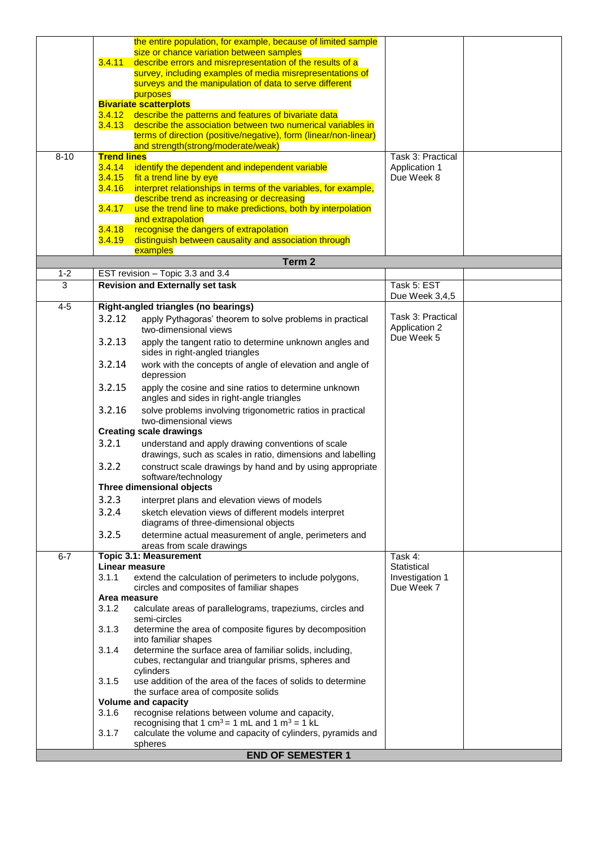|          |                    | the entire population, for example, because of limited sample                                                            |                        |  |
|----------|--------------------|--------------------------------------------------------------------------------------------------------------------------|------------------------|--|
|          |                    | size or chance variation between samples                                                                                 |                        |  |
|          | 3.4.11             | describe errors and misrepresentation of the results of a<br>survey, including examples of media misrepresentations of   |                        |  |
|          |                    | surveys and the manipulation of data to serve different                                                                  |                        |  |
|          |                    | purposes                                                                                                                 |                        |  |
|          |                    | <b>Bivariate scatterplots</b>                                                                                            |                        |  |
|          | 3.4.12             | describe the patterns and features of bivariate data                                                                     |                        |  |
|          |                    | 3.4.13 describe the association between two numerical variables in                                                       |                        |  |
|          |                    | terms of direction (positive/negative), form (linear/non-linear)<br>and strength(strong/moderate/weak)                   |                        |  |
| $8 - 10$ | <b>Trend lines</b> |                                                                                                                          | Task 3: Practical      |  |
|          | 3.4.14             | identify the dependent and independent variable                                                                          | Application 1          |  |
|          | 3.4.15             | fit a trend line by eye                                                                                                  | Due Week 8             |  |
|          | 3.4.16             | interpret relationships in terms of the variables, for example,                                                          |                        |  |
|          |                    | describe trend as increasing or decreasing                                                                               |                        |  |
|          | 3.4.17             | use the trend line to make predictions, both by interpolation                                                            |                        |  |
|          | 3.4.18             | and extrapolation<br>recognise the dangers of extrapolation                                                              |                        |  |
|          | 3.4.19             | distinguish between causality and association through                                                                    |                        |  |
|          |                    | examples                                                                                                                 |                        |  |
|          |                    | Term <sub>2</sub>                                                                                                        |                        |  |
| $1 - 2$  |                    | EST revision - Topic 3.3 and 3.4                                                                                         |                        |  |
| 3        |                    | <b>Revision and Externally set task</b>                                                                                  | Task 5: EST            |  |
| $4 - 5$  |                    | Right-angled triangles (no bearings)                                                                                     | Due Week 3,4,5         |  |
|          | 3.2.12             |                                                                                                                          | Task 3: Practical      |  |
|          |                    | apply Pythagoras' theorem to solve problems in practical<br>two-dimensional views                                        | Application 2          |  |
|          | 3.2.13             | apply the tangent ratio to determine unknown angles and                                                                  | Due Week 5             |  |
|          |                    | sides in right-angled triangles                                                                                          |                        |  |
|          | 3.2.14             | work with the concepts of angle of elevation and angle of                                                                |                        |  |
|          |                    | depression                                                                                                               |                        |  |
|          | 3.2.15             | apply the cosine and sine ratios to determine unknown                                                                    |                        |  |
|          |                    | angles and sides in right-angle triangles                                                                                |                        |  |
|          | 3.2.16             | solve problems involving trigonometric ratios in practical                                                               |                        |  |
|          |                    | two-dimensional views                                                                                                    |                        |  |
|          |                    | <b>Creating scale drawings</b>                                                                                           |                        |  |
|          | 3.2.1              | understand and apply drawing conventions of scale                                                                        |                        |  |
|          | 3.2.2              | drawings, such as scales in ratio, dimensions and labelling<br>construct scale drawings by hand and by using appropriate |                        |  |
|          |                    | software/technology                                                                                                      |                        |  |
|          |                    | Three dimensional objects                                                                                                |                        |  |
|          | 3.2.3              | interpret plans and elevation views of models                                                                            |                        |  |
|          | 3.2.4              | sketch elevation views of different models interpret                                                                     |                        |  |
|          |                    | diagrams of three-dimensional objects                                                                                    |                        |  |
|          | 3.2.5              | determine actual measurement of angle, perimeters and                                                                    |                        |  |
|          |                    | areas from scale drawings                                                                                                |                        |  |
| $6 - 7$  |                    | <b>Topic 3.1: Measurement</b><br><b>Linear measure</b>                                                                   | Task 4:<br>Statistical |  |
|          | 3.1.1              | extend the calculation of perimeters to include polygons,                                                                | Investigation 1        |  |
|          |                    | circles and composites of familiar shapes                                                                                | Due Week 7             |  |
|          | Area measure       |                                                                                                                          |                        |  |
|          | 3.1.2              | calculate areas of parallelograms, trapeziums, circles and                                                               |                        |  |
|          |                    | semi-circles                                                                                                             |                        |  |
|          | 3.1.3              | determine the area of composite figures by decomposition<br>into familiar shapes                                         |                        |  |
|          | 3.1.4              | determine the surface area of familiar solids, including,                                                                |                        |  |
|          |                    | cubes, rectangular and triangular prisms, spheres and                                                                    |                        |  |
|          |                    | cylinders                                                                                                                |                        |  |
|          | 3.1.5              | use addition of the area of the faces of solids to determine                                                             |                        |  |
|          |                    | the surface area of composite solids<br><b>Volume and capacity</b>                                                       |                        |  |
|          | 3.1.6              | recognise relations between volume and capacity,                                                                         |                        |  |
|          |                    | recognising that 1 cm <sup>3</sup> = 1 mL and 1 m <sup>3</sup> = 1 kL                                                    |                        |  |
|          | 3.1.7              | calculate the volume and capacity of cylinders, pyramids and                                                             |                        |  |
|          |                    | spheres                                                                                                                  |                        |  |
|          |                    | <b>END OF SEMESTER 1</b>                                                                                                 |                        |  |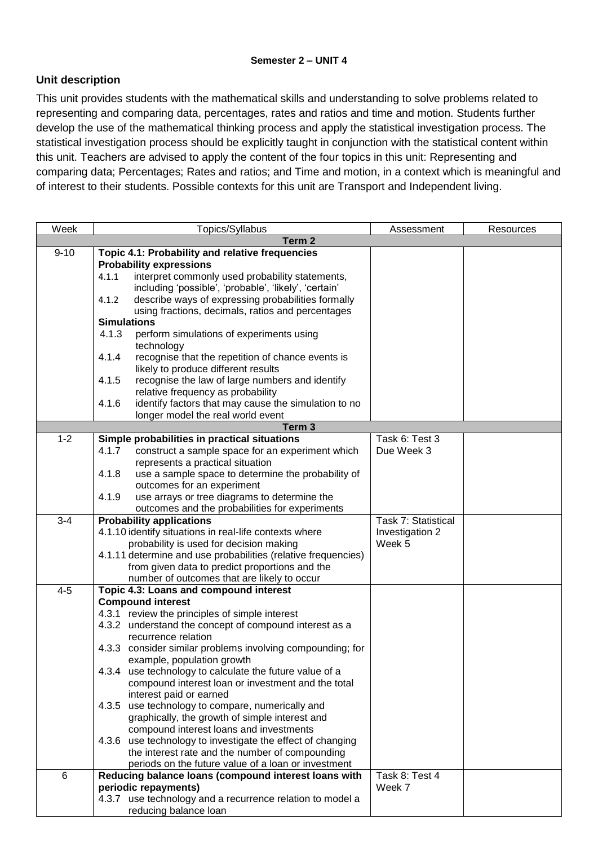## **Unit description**

This unit provides students with the mathematical skills and understanding to solve problems related to representing and comparing data, percentages, rates and ratios and time and motion. Students further develop the use of the mathematical thinking process and apply the statistical investigation process. The statistical investigation process should be explicitly taught in conjunction with the statistical content within this unit. Teachers are advised to apply the content of the four topics in this unit: Representing and comparing data; Percentages; Rates and ratios; and Time and motion, in a context which is meaningful and of interest to their students. Possible contexts for this unit are Transport and Independent living.

| Week     | Topics/Syllabus                                                                               | Assessment          | Resources |
|----------|-----------------------------------------------------------------------------------------------|---------------------|-----------|
|          | Term 2                                                                                        |                     |           |
| $9 - 10$ | Topic 4.1: Probability and relative frequencies                                               |                     |           |
|          | <b>Probability expressions</b>                                                                |                     |           |
|          | interpret commonly used probability statements,<br>4.1.1                                      |                     |           |
|          | including 'possible', 'probable', 'likely', 'certain'                                         |                     |           |
|          | describe ways of expressing probabilities formally<br>4.1.2                                   |                     |           |
|          | using fractions, decimals, ratios and percentages                                             |                     |           |
|          | <b>Simulations</b>                                                                            |                     |           |
|          | 4.1.3<br>perform simulations of experiments using                                             |                     |           |
|          | technology                                                                                    |                     |           |
|          | 4.1.4<br>recognise that the repetition of chance events is                                    |                     |           |
|          | likely to produce different results                                                           |                     |           |
|          | 4.1.5<br>recognise the law of large numbers and identify                                      |                     |           |
|          | relative frequency as probability                                                             |                     |           |
|          | identify factors that may cause the simulation to no<br>4.1.6                                 |                     |           |
|          | longer model the real world event                                                             |                     |           |
|          | Term <sub>3</sub>                                                                             |                     |           |
| $1 - 2$  | Simple probabilities in practical situations                                                  | Task 6: Test 3      |           |
|          | 4.1.7<br>construct a sample space for an experiment which<br>represents a practical situation | Due Week 3          |           |
|          | 4.1.8<br>use a sample space to determine the probability of                                   |                     |           |
|          | outcomes for an experiment                                                                    |                     |           |
|          | use arrays or tree diagrams to determine the<br>4.1.9                                         |                     |           |
|          | outcomes and the probabilities for experiments                                                |                     |           |
| $3 - 4$  | <b>Probability applications</b>                                                               | Task 7: Statistical |           |
|          | 4.1.10 identify situations in real-life contexts where                                        | Investigation 2     |           |
|          | probability is used for decision making                                                       | Week 5              |           |
|          | 4.1.11 determine and use probabilities (relative frequencies)                                 |                     |           |
|          | from given data to predict proportions and the                                                |                     |           |
|          | number of outcomes that are likely to occur                                                   |                     |           |
| $4 - 5$  | Topic 4.3: Loans and compound interest                                                        |                     |           |
|          | <b>Compound interest</b>                                                                      |                     |           |
|          | 4.3.1 review the principles of simple interest                                                |                     |           |
|          | 4.3.2 understand the concept of compound interest as a                                        |                     |           |
|          | recurrence relation                                                                           |                     |           |
|          | 4.3.3 consider similar problems involving compounding; for                                    |                     |           |
|          | example, population growth                                                                    |                     |           |
|          | 4.3.4 use technology to calculate the future value of a                                       |                     |           |
|          | compound interest loan or investment and the total                                            |                     |           |
|          | interest paid or earned                                                                       |                     |           |
|          | 4.3.5 use technology to compare, numerically and                                              |                     |           |
|          | graphically, the growth of simple interest and                                                |                     |           |
|          | compound interest loans and investments                                                       |                     |           |
|          | 4.3.6 use technology to investigate the effect of changing                                    |                     |           |
|          | the interest rate and the number of compounding                                               |                     |           |
|          | periods on the future value of a loan or investment                                           |                     |           |
| $\,6$    | Reducing balance loans (compound interest loans with                                          | Task 8: Test 4      |           |
|          | periodic repayments)<br>4.3.7 use technology and a recurrence relation to model a             | Week 7              |           |
|          | reducing balance loan                                                                         |                     |           |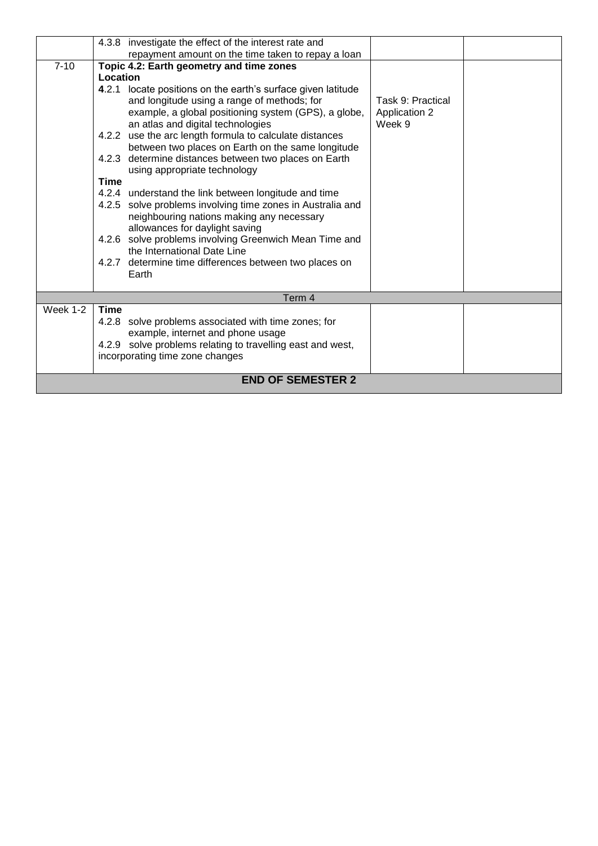|          | 4.3.8 investigate the effect of the interest rate and                                                                                                                                                    |                                                     |  |
|----------|----------------------------------------------------------------------------------------------------------------------------------------------------------------------------------------------------------|-----------------------------------------------------|--|
|          | repayment amount on the time taken to repay a loan                                                                                                                                                       |                                                     |  |
| $7 - 10$ | Topic 4.2: Earth geometry and time zones                                                                                                                                                                 |                                                     |  |
|          | Location                                                                                                                                                                                                 |                                                     |  |
|          | 4.2.1 locate positions on the earth's surface given latitude<br>and longitude using a range of methods; for<br>example, a global positioning system (GPS), a globe,<br>an atlas and digital technologies | Task 9: Practical<br><b>Application 2</b><br>Week 9 |  |
|          | 4.2.2 use the arc length formula to calculate distances<br>between two places on Earth on the same longitude                                                                                             |                                                     |  |
|          | 4.2.3 determine distances between two places on Earth<br>using appropriate technology                                                                                                                    |                                                     |  |
|          | <b>Time</b>                                                                                                                                                                                              |                                                     |  |
|          | 4.2.4 understand the link between longitude and time                                                                                                                                                     |                                                     |  |
|          | 4.2.5 solve problems involving time zones in Australia and<br>neighbouring nations making any necessary<br>allowances for daylight saving                                                                |                                                     |  |
|          | 4.2.6 solve problems involving Greenwich Mean Time and<br>the International Date Line                                                                                                                    |                                                     |  |
|          | 4.2.7 determine time differences between two places on<br>Earth                                                                                                                                          |                                                     |  |
|          | Term 4                                                                                                                                                                                                   |                                                     |  |
| Week 1-2 | <b>Time</b>                                                                                                                                                                                              |                                                     |  |
|          | 4.2.8 solve problems associated with time zones; for                                                                                                                                                     |                                                     |  |
|          | example, internet and phone usage                                                                                                                                                                        |                                                     |  |
|          | 4.2.9 solve problems relating to travelling east and west,                                                                                                                                               |                                                     |  |
|          | incorporating time zone changes                                                                                                                                                                          |                                                     |  |
|          | <b>END OF SEMESTER 2</b>                                                                                                                                                                                 |                                                     |  |